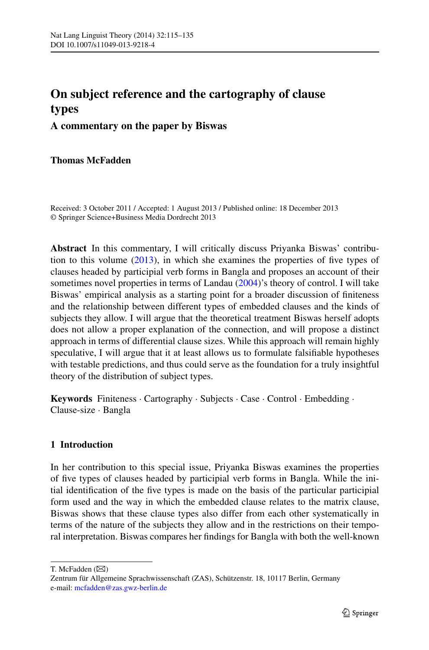# **On subject reference and the cartography of clause types**

**A commentary on the paper by Biswas**

# **Thomas McFadden**

Received: 3 October 2011 / Accepted: 1 August 2013 / Published online: 18 December 2013 © Springer Science+Business Media Dordrecht 2013

**Abstract** In this commentary, I will critically discuss Priyanka Biswas' contribution to this volume ([2013\)](#page-20-0), in which she examines the properties of five types of clauses headed by participial verb forms in Bangla and proposes an account of their sometimes novel properties in terms of Landau [\(2004](#page-20-1))'s theory of control. I will take Biswas' empirical analysis as a starting point for a broader discussion of finiteness and the relationship between different types of embedded clauses and the kinds of subjects they allow. I will argue that the theoretical treatment Biswas herself adopts does not allow a proper explanation of the connection, and will propose a distinct approach in terms of differential clause sizes. While this approach will remain highly speculative, I will argue that it at least allows us to formulate falsifiable hypotheses with testable predictions, and thus could serve as the foundation for a truly insightful theory of the distribution of subject types.

**Keywords** Finiteness · Cartography · Subjects · Case · Control · Embedding · Clause-size · Bangla

# **1 Introduction**

In her contribution to this special issue, Priyanka Biswas examines the properties of five types of clauses headed by participial verb forms in Bangla. While the initial identification of the five types is made on the basis of the particular participial form used and the way in which the embedded clause relates to the matrix clause, Biswas shows that these clause types also differ from each other systematically in terms of the nature of the subjects they allow and in the restrictions on their temporal interpretation. Biswas compares her findings for Bangla with both the well-known

T. McFadden  $(\boxtimes)$ 

Zentrum für Allgemeine Sprachwissenschaft (ZAS), Schützenstr. 18, 10117 Berlin, Germany e-mail: [mcfadden@zas.gwz-berlin.de](mailto:mcfadden@zas.gwz-berlin.de)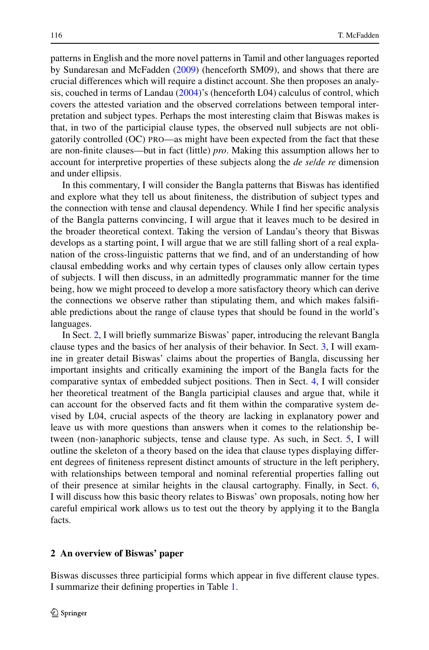patterns in English and the more novel patterns in Tamil and other languages reported by Sundaresan and McFadden ([2009\)](#page-20-2) (henceforth SM09), and shows that there are crucial differences which will require a distinct account. She then proposes an analysis, couched in terms of Landau [\(2004](#page-20-1))'s (henceforth L04) calculus of control, which covers the attested variation and the observed correlations between temporal interpretation and subject types. Perhaps the most interesting claim that Biswas makes is that, in two of the participial clause types, the observed null subjects are not obligatorily controlled (OC) PRO—as might have been expected from the fact that these are non-finite clauses—but in fact (little) *pro*. Making this assumption allows her to account for interpretive properties of these subjects along the *de se*/*de re* dimension and under ellipsis.

In this commentary, I will consider the Bangla patterns that Biswas has identified and explore what they tell us about finiteness, the distribution of subject types and the connection with tense and clausal dependency. While I find her specific analysis of the Bangla patterns convincing, I will argue that it leaves much to be desired in the broader theoretical context. Taking the version of Landau's theory that Biswas develops as a starting point, I will argue that we are still falling short of a real explanation of the cross-linguistic patterns that we find, and of an understanding of how clausal embedding works and why certain types of clauses only allow certain types of subjects. I will then discuss, in an admittedly programmatic manner for the time being, how we might proceed to develop a more satisfactory theory which can derive the connections we observe rather than stipulating them, and which makes falsifiable predictions about the range of clause types that should be found in the world's languages.

In Sect. [2](#page-1-0), I will briefly summarize Biswas' paper, introducing the relevant Bangla clause types and the basics of her analysis of their behavior. In Sect. [3](#page-4-0), I will examine in greater detail Biswas' claims about the properties of Bangla, discussing her important insights and critically examining the import of the Bangla facts for the comparative syntax of embedded subject positions. Then in Sect. [4,](#page-9-0) I will consider her theoretical treatment of the Bangla participial clauses and argue that, while it can account for the observed facts and fit them within the comparative system devised by L04, crucial aspects of the theory are lacking in explanatory power and leave us with more questions than answers when it comes to the relationship between (non-)anaphoric subjects, tense and clause type. As such, in Sect. [5,](#page-11-0) I will outline the skeleton of a theory based on the idea that clause types displaying different degrees of finiteness represent distinct amounts of structure in the left periphery, with relationships between temporal and nominal referential properties falling out of their presence at similar heights in the clausal cartography. Finally, in Sect. [6](#page-19-0), I will discuss how this basic theory relates to Biswas' own proposals, noting how her careful empirical work allows us to test out the theory by applying it to the Bangla facts.

#### <span id="page-1-0"></span>**2 An overview of Biswas' paper**

Biswas discusses three participial forms which appear in five different clause types. I summarize their defining properties in Table [1.](#page-2-0)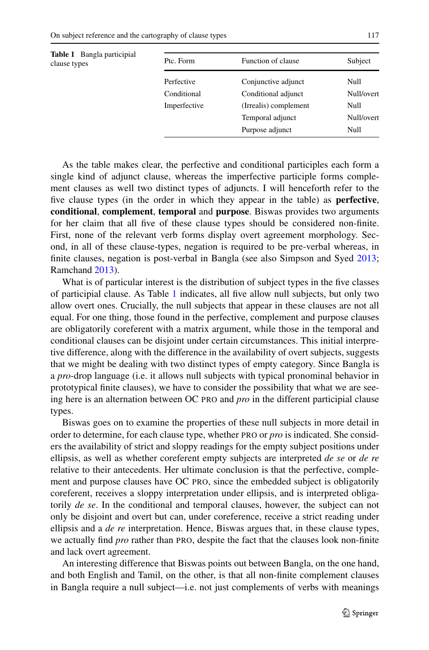<span id="page-2-0"></span>

| <b>Table 1</b> Bangla participial<br>clause types | Ptc. Form    | Function of clause    | Subject    |
|---------------------------------------------------|--------------|-----------------------|------------|
|                                                   | Perfective   | Conjunctive adjunct   | Null       |
|                                                   | Conditional  | Conditional adjunct   | Null/overt |
|                                                   | Imperfective | (Irrealis) complement | Null       |
|                                                   |              | Temporal adjunct      | Null/overt |
|                                                   |              | Purpose adjunct       | Null       |

As the table makes clear, the perfective and conditional participles each form a single kind of adjunct clause, whereas the imperfective participle forms complement clauses as well two distinct types of adjuncts. I will henceforth refer to the five clause types (in the order in which they appear in the table) as **perfective**, **conditional**, **complement**, **temporal** and **purpose**. Biswas provides two arguments for her claim that all five of these clause types should be considered non-finite. First, none of the relevant verb forms display overt agreement morphology. Second, in all of these clause-types, negation is required to be pre-verbal whereas, in finite clauses, negation is post-verbal in Bangla (see also Simpson and Syed [2013;](#page-20-3) Ramchand [2013\)](#page-20-4).

What is of particular interest is the distribution of subject types in the five classes of participial clause. As Table [1](#page-2-0) indicates, all five allow null subjects, but only two allow overt ones. Crucially, the null subjects that appear in these clauses are not all equal. For one thing, those found in the perfective, complement and purpose clauses are obligatorily coreferent with a matrix argument, while those in the temporal and conditional clauses can be disjoint under certain circumstances. This initial interpretive difference, along with the difference in the availability of overt subjects, suggests that we might be dealing with two distinct types of empty category. Since Bangla is a *pro*-drop language (i.e. it allows null subjects with typical pronominal behavior in prototypical finite clauses), we have to consider the possibility that what we are seeing here is an alternation between OC PRO and *pro* in the different participial clause types.

Biswas goes on to examine the properties of these null subjects in more detail in order to determine, for each clause type, whether PRO or *pro* is indicated. She considers the availability of strict and sloppy readings for the empty subject positions under ellipsis, as well as whether coreferent empty subjects are interpreted *de se* or *de re* relative to their antecedents. Her ultimate conclusion is that the perfective, complement and purpose clauses have OC PRO, since the embedded subject is obligatorily coreferent, receives a sloppy interpretation under ellipsis, and is interpreted obligatorily *de se*. In the conditional and temporal clauses, however, the subject can not only be disjoint and overt but can, under coreference, receive a strict reading under ellipsis and a *de re* interpretation. Hence, Biswas argues that, in these clause types, we actually find *pro* rather than PRO, despite the fact that the clauses look non-finite and lack overt agreement.

An interesting difference that Biswas points out between Bangla, on the one hand, and both English and Tamil, on the other, is that all non-finite complement clauses in Bangla require a null subject—i.e. not just complements of verbs with meanings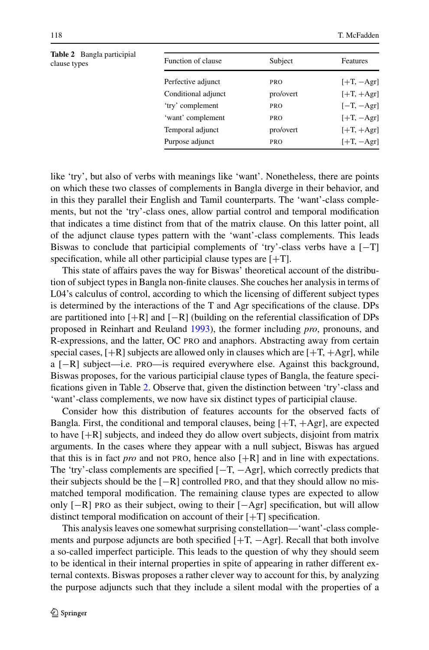<span id="page-3-0"></span>

| <b>Table 2</b> Bangla participial<br>clause types | Function of clause  | Subject    | Features     |
|---------------------------------------------------|---------------------|------------|--------------|
|                                                   | Perfective adjunct  | <b>PRO</b> | $[-T, -Agr]$ |
|                                                   | Conditional adjunct | pro/overt  | $[+T, +Agr]$ |
|                                                   | 'try' complement    | <b>PRO</b> | $[-T, -Agr]$ |
|                                                   | 'want' complement   | <b>PRO</b> | $[-T, -Agr]$ |
|                                                   | Temporal adjunct    | pro/overt  | $[+T, +Agr]$ |
|                                                   | Purpose adjunct     | <b>PRO</b> | $[-T, -Agr]$ |

like 'try', but also of verbs with meanings like 'want'. Nonetheless, there are points on which these two classes of complements in Bangla diverge in their behavior, and in this they parallel their English and Tamil counterparts. The 'want'-class complements, but not the 'try'-class ones, allow partial control and temporal modification that indicates a time distinct from that of the matrix clause. On this latter point, all of the adjunct clause types pattern with the 'want'-class complements. This leads Biswas to conclude that participial complements of 'try'-class verbs have a [−T] specification, while all other participial clause types are  $[+T]$ .

This state of affairs paves the way for Biswas' theoretical account of the distribution of subject types in Bangla non-finite clauses. She couches her analysis in terms of L04's calculus of control, according to which the licensing of different subject types is determined by the interactions of the T and Agr specifications of the clause. DPs are partitioned into [+R] and [−R] (building on the referential classification of DPs proposed in Reinhart and Reuland [1993](#page-20-5)), the former including *pro*, pronouns, and R-expressions, and the latter, OC PRO and anaphors. Abstracting away from certain special cases,  $[+R]$  subjects are allowed only in clauses which are  $[+T, +Agr]$ , while a [−R] subject—i.e. PRO—is required everywhere else. Against this background, Biswas proposes, for the various participial clause types of Bangla, the feature specifications given in Table [2.](#page-3-0) Observe that, given the distinction between 'try'-class and 'want'-class complements, we now have six distinct types of participial clause.

Consider how this distribution of features accounts for the observed facts of Bangla. First, the conditional and temporal clauses, being  $[+T, +Agr]$ , are expected to have [+R] subjects, and indeed they do allow overt subjects, disjoint from matrix arguments. In the cases where they appear with a null subject, Biswas has argued that this is in fact *pro* and not PRO, hence also  $[+R]$  and in line with expectations. The 'try'-class complements are specified  $[-T, -Agr]$ , which correctly predicts that their subjects should be the  $[-R]$  controlled PRO, and that they should allow no mismatched temporal modification. The remaining clause types are expected to allow only [−R] PRO as their subject, owing to their [−Agr] specification, but will allow distinct temporal modification on account of their [+T] specification.

This analysis leaves one somewhat surprising constellation—'want'-class complements and purpose adjuncts are both specified  $[+T, -Agr]$ . Recall that both involve a so-called imperfect participle. This leads to the question of why they should seem to be identical in their internal properties in spite of appearing in rather different external contexts. Biswas proposes a rather clever way to account for this, by analyzing the purpose adjuncts such that they include a silent modal with the properties of a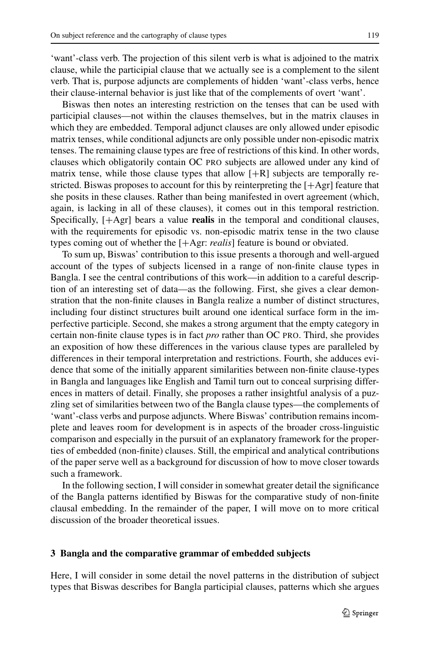'want'-class verb. The projection of this silent verb is what is adjoined to the matrix clause, while the participial clause that we actually see is a complement to the silent verb. That is, purpose adjuncts are complements of hidden 'want'-class verbs, hence their clause-internal behavior is just like that of the complements of overt 'want'.

Biswas then notes an interesting restriction on the tenses that can be used with participial clauses—not within the clauses themselves, but in the matrix clauses in which they are embedded. Temporal adjunct clauses are only allowed under episodic matrix tenses, while conditional adjuncts are only possible under non-episodic matrix tenses. The remaining clause types are free of restrictions of this kind. In other words, clauses which obligatorily contain OC PRO subjects are allowed under any kind of matrix tense, while those clause types that allow  $[+R]$  subjects are temporally restricted. Biswas proposes to account for this by reinterpreting the [+Agr] feature that she posits in these clauses. Rather than being manifested in overt agreement (which, again, is lacking in all of these clauses), it comes out in this temporal restriction. Specifically, [+Agr] bears a value **realis** in the temporal and conditional clauses, with the requirements for episodic vs. non-episodic matrix tense in the two clause types coming out of whether the [+Agr: *realis*] feature is bound or obviated.

To sum up, Biswas' contribution to this issue presents a thorough and well-argued account of the types of subjects licensed in a range of non-finite clause types in Bangla. I see the central contributions of this work—in addition to a careful description of an interesting set of data—as the following. First, she gives a clear demonstration that the non-finite clauses in Bangla realize a number of distinct structures, including four distinct structures built around one identical surface form in the imperfective participle. Second, she makes a strong argument that the empty category in certain non-finite clause types is in fact *pro* rather than OC PRO. Third, she provides an exposition of how these differences in the various clause types are paralleled by differences in their temporal interpretation and restrictions. Fourth, she adduces evidence that some of the initially apparent similarities between non-finite clause-types in Bangla and languages like English and Tamil turn out to conceal surprising differences in matters of detail. Finally, she proposes a rather insightful analysis of a puzzling set of similarities between two of the Bangla clause types—the complements of 'want'-class verbs and purpose adjuncts. Where Biswas' contribution remains incomplete and leaves room for development is in aspects of the broader cross-linguistic comparison and especially in the pursuit of an explanatory framework for the properties of embedded (non-finite) clauses. Still, the empirical and analytical contributions of the paper serve well as a background for discussion of how to move closer towards such a framework.

<span id="page-4-0"></span>In the following section, I will consider in somewhat greater detail the significance of the Bangla patterns identified by Biswas for the comparative study of non-finite clausal embedding. In the remainder of the paper, I will move on to more critical discussion of the broader theoretical issues.

## **3 Bangla and the comparative grammar of embedded subjects**

Here, I will consider in some detail the novel patterns in the distribution of subject types that Biswas describes for Bangla participial clauses, patterns which she argues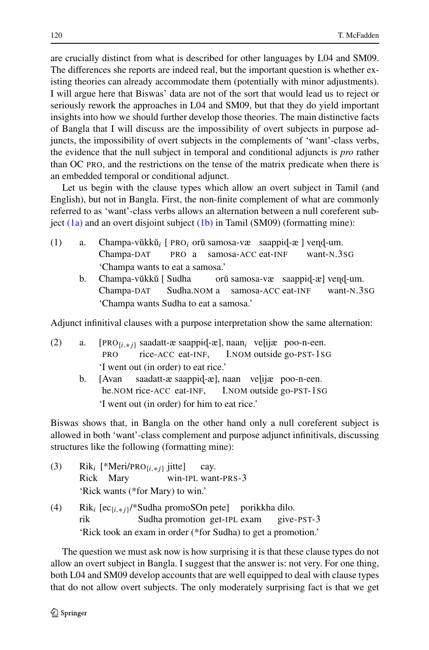are crucially distinct from what is described for other languages by L04 and SM09. The differences she reports are indeed real, but the important question is whether existing theories can already accommodate them (potentially with minor adjustments). I will argue here that Biswas' data are not of the sort that would lead us to reject or seriously rework the approaches in L04 and SM09, but that they do yield important insights into how we should further develop those theories. The main distinctive facts of Bangla that I will discuss are the impossibility of overt subjects in purpose adjuncts, the impossibility of overt subjects in the complements of 'want'-class verbs, the evidence that the null subject in temporal and conditional adjuncts is *pro* rather than OC PRO, and the restrictions on the tense of the matrix predicate when there is an embedded temporal or conditional adjunct.

<span id="page-5-1"></span><span id="page-5-0"></span>Let us begin with the clause types which allow an overt subject in Tamil (and English), but not in Bangla. First, the non-finite complement of what are commonly referred to as 'want'-class verbs allows an alternation between a null coreferent subject  $(1a)$  and an overt disjoint subject  $(1b)$  in Tamil (SM09) (formatting mine):

- (1) a. Champa-vŭkkŭ<sub>i</sub> [ PRO<sub>i</sub> orŭ samosa-væ saappid-æ] vend-um. Champa-DAT PRO a samosa-ACC eat-INF want-N.3SG 'Champa wants to eat a samosa.'
	- b. Champa-vŭkkŭ [ Sudha Champa-DAT Sudha.NOM a orŭ samosa-væ saappid-æ] vend-um. samosa-ACC eat-INF want-N.3SG 'Champa wants Sudha to eat a samosa.'

Adjunct infinitival clauses with a purpose interpretation show the same alternation:

- (2) a.  $[PRO_{\{i, *j\}}$$  saadatt-æ saappid-æ], naan<sub>i</sub> velijæ poo-n-een. PRO rice-ACC eat-INF, I.NOM outside go-PST-1SG 'I went out (in order) to eat rice.'
	- b. [Avan he.NOM rice-ACC eat-INF, saadatt-æ saappid-æ], naan velijæ poo-n-een. I.NOM outside go-PST-1SG 'I went out (in order) for him to eat rice.'

Biswas shows that, in Bangla on the other hand only a null coreferent subject is allowed in both 'want'-class complement and purpose adjunct infinitivals, discussing structures like the following (formatting mine):

- (3) Rik<sub>i</sub> [\*Meri/PRO $\{i, *j\}$  jitte] Rick Mary win-IPL want-PRS-3 cay. 'Rick wants (\*for Mary) to win.'
- (4) Rik*<sup>i</sup>* [ec{*i,*∗*<sup>j</sup>* }/\*Sudha promoSOn pete] porikkha dilo. rik Sudha promotion get-IPL exam give-PST-3 'Rick took an exam in order (\*for Sudha) to get a promotion.'

The question we must ask now is how surprising it is that these clause types do not allow an overt subject in Bangla. I suggest that the answer is: not very. For one thing, both L04 and SM09 develop accounts that are well equipped to deal with clause types that do not allow overt subjects. The only moderately surprising fact is that we get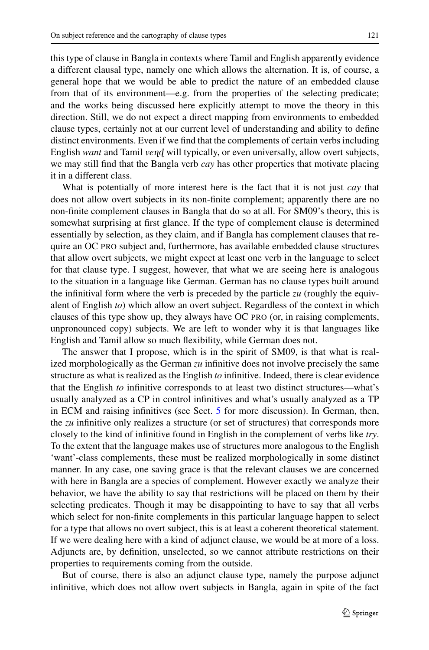this type of clause in Bangla in contexts where Tamil and English apparently evidence a different clausal type, namely one which allows the alternation. It is, of course, a general hope that we would be able to predict the nature of an embedded clause from that of its environment—e.g. from the properties of the selecting predicate; and the works being discussed here explicitly attempt to move the theory in this direction. Still, we do not expect a direct mapping from environments to embedded clause types, certainly not at our current level of understanding and ability to define distinct environments. Even if we find that the complements of certain verbs including English want and Tamil vend will typically, or even universally, allow overt subjects, we may still find that the Bangla verb *cay* has other properties that motivate placing it in a different class.

What is potentially of more interest here is the fact that it is not just *cay* that does not allow overt subjects in its non-finite complement; apparently there are no non-finite complement clauses in Bangla that do so at all. For SM09's theory, this is somewhat surprising at first glance. If the type of complement clause is determined essentially by selection, as they claim, and if Bangla has complement clauses that require an OC PRO subject and, furthermore, has available embedded clause structures that allow overt subjects, we might expect at least one verb in the language to select for that clause type. I suggest, however, that what we are seeing here is analogous to the situation in a language like German. German has no clause types built around the infinitival form where the verb is preceded by the particle *zu* (roughly the equivalent of English *to*) which allow an overt subject. Regardless of the context in which clauses of this type show up, they always have OC PRO (or, in raising complements, unpronounced copy) subjects. We are left to wonder why it is that languages like English and Tamil allow so much flexibility, while German does not.

The answer that I propose, which is in the spirit of SM09, is that what is realized morphologically as the German *zu* infinitive does not involve precisely the same structure as what is realized as the English *to* infinitive. Indeed, there is clear evidence that the English *to* infinitive corresponds to at least two distinct structures—what's usually analyzed as a CP in control infinitives and what's usually analyzed as a TP in ECM and raising infinitives (see Sect. [5](#page-11-0) for more discussion). In German, then, the *zu* infinitive only realizes a structure (or set of structures) that corresponds more closely to the kind of infinitive found in English in the complement of verbs like *try*. To the extent that the language makes use of structures more analogous to the English 'want'-class complements, these must be realized morphologically in some distinct manner. In any case, one saving grace is that the relevant clauses we are concerned with here in Bangla are a species of complement. However exactly we analyze their behavior, we have the ability to say that restrictions will be placed on them by their selecting predicates. Though it may be disappointing to have to say that all verbs which select for non-finite complements in this particular language happen to select for a type that allows no overt subject, this is at least a coherent theoretical statement. If we were dealing here with a kind of adjunct clause, we would be at more of a loss. Adjuncts are, by definition, unselected, so we cannot attribute restrictions on their properties to requirements coming from the outside.

But of course, there is also an adjunct clause type, namely the purpose adjunct infinitive, which does not allow overt subjects in Bangla, again in spite of the fact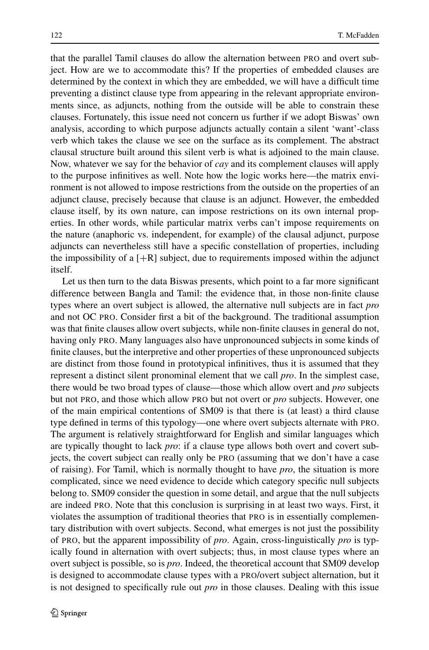that the parallel Tamil clauses do allow the alternation between PRO and overt subject. How are we to accommodate this? If the properties of embedded clauses are determined by the context in which they are embedded, we will have a difficult time preventing a distinct clause type from appearing in the relevant appropriate environments since, as adjuncts, nothing from the outside will be able to constrain these clauses. Fortunately, this issue need not concern us further if we adopt Biswas' own analysis, according to which purpose adjuncts actually contain a silent 'want'-class verb which takes the clause we see on the surface as its complement. The abstract clausal structure built around this silent verb is what is adjoined to the main clause. Now, whatever we say for the behavior of *cay* and its complement clauses will apply to the purpose infinitives as well. Note how the logic works here—the matrix environment is not allowed to impose restrictions from the outside on the properties of an adjunct clause, precisely because that clause is an adjunct. However, the embedded clause itself, by its own nature, can impose restrictions on its own internal properties. In other words, while particular matrix verbs can't impose requirements on the nature (anaphoric vs. independent, for example) of the clausal adjunct, purpose adjuncts can nevertheless still have a specific constellation of properties, including the impossibility of a  $[+R]$  subject, due to requirements imposed within the adjunct itself.

Let us then turn to the data Biswas presents, which point to a far more significant difference between Bangla and Tamil: the evidence that, in those non-finite clause types where an overt subject is allowed, the alternative null subjects are in fact *pro* and not OC PRO. Consider first a bit of the background. The traditional assumption was that finite clauses allow overt subjects, while non-finite clauses in general do not, having only PRO. Many languages also have unpronounced subjects in some kinds of finite clauses, but the interpretive and other properties of these unpronounced subjects are distinct from those found in prototypical infinitives, thus it is assumed that they represent a distinct silent pronominal element that we call *pro*. In the simplest case, there would be two broad types of clause—those which allow overt and *pro* subjects but not PRO, and those which allow PRO but not overt or *pro* subjects. However, one of the main empirical contentions of SM09 is that there is (at least) a third clause type defined in terms of this typology—one where overt subjects alternate with PRO. The argument is relatively straightforward for English and similar languages which are typically thought to lack *pro*: if a clause type allows both overt and covert subjects, the covert subject can really only be PRO (assuming that we don't have a case of raising). For Tamil, which is normally thought to have *pro*, the situation is more complicated, since we need evidence to decide which category specific null subjects belong to. SM09 consider the question in some detail, and argue that the null subjects are indeed PRO. Note that this conclusion is surprising in at least two ways. First, it violates the assumption of traditional theories that PRO is in essentially complementary distribution with overt subjects. Second, what emerges is not just the possibility of PRO, but the apparent impossibility of *pro*. Again, cross-linguistically *pro* is typically found in alternation with overt subjects; thus, in most clause types where an overt subject is possible, so is *pro*. Indeed, the theoretical account that SM09 develop is designed to accommodate clause types with a PRO/overt subject alternation, but it is not designed to specifically rule out *pro* in those clauses. Dealing with this issue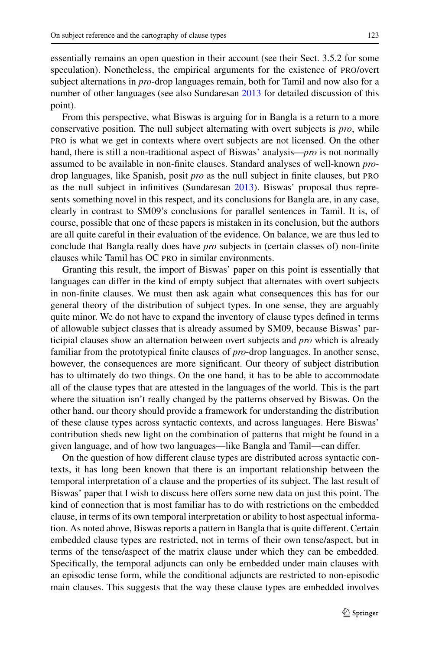essentially remains an open question in their account (see their Sect. 3.5.2 for some speculation). Nonetheless, the empirical arguments for the existence of PRO/overt subject alternations in *pro*-drop languages remain, both for Tamil and now also for a number of other languages (see also Sundaresan [2013](#page-20-6) for detailed discussion of this point).

From this perspective, what Biswas is arguing for in Bangla is a return to a more conservative position. The null subject alternating with overt subjects is *pro*, while PRO is what we get in contexts where overt subjects are not licensed. On the other hand, there is still a non-traditional aspect of Biswas' analysis—*pro* is not normally assumed to be available in non-finite clauses. Standard analyses of well-known *pro*drop languages, like Spanish, posit *pro* as the null subject in finite clauses, but PRO as the null subject in infinitives (Sundaresan [2013](#page-20-6)). Biswas' proposal thus represents something novel in this respect, and its conclusions for Bangla are, in any case, clearly in contrast to SM09's conclusions for parallel sentences in Tamil. It is, of course, possible that one of these papers is mistaken in its conclusion, but the authors are all quite careful in their evaluation of the evidence. On balance, we are thus led to conclude that Bangla really does have *pro* subjects in (certain classes of) non-finite clauses while Tamil has OC PRO in similar environments.

Granting this result, the import of Biswas' paper on this point is essentially that languages can differ in the kind of empty subject that alternates with overt subjects in non-finite clauses. We must then ask again what consequences this has for our general theory of the distribution of subject types. In one sense, they are arguably quite minor. We do not have to expand the inventory of clause types defined in terms of allowable subject classes that is already assumed by SM09, because Biswas' participial clauses show an alternation between overt subjects and *pro* which is already familiar from the prototypical finite clauses of *pro*-drop languages. In another sense, however, the consequences are more significant. Our theory of subject distribution has to ultimately do two things. On the one hand, it has to be able to accommodate all of the clause types that are attested in the languages of the world. This is the part where the situation isn't really changed by the patterns observed by Biswas. On the other hand, our theory should provide a framework for understanding the distribution of these clause types across syntactic contexts, and across languages. Here Biswas' contribution sheds new light on the combination of patterns that might be found in a given language, and of how two languages—like Bangla and Tamil—can differ.

On the question of how different clause types are distributed across syntactic contexts, it has long been known that there is an important relationship between the temporal interpretation of a clause and the properties of its subject. The last result of Biswas' paper that I wish to discuss here offers some new data on just this point. The kind of connection that is most familiar has to do with restrictions on the embedded clause, in terms of its own temporal interpretation or ability to host aspectual information. As noted above, Biswas reports a pattern in Bangla that is quite different. Certain embedded clause types are restricted, not in terms of their own tense/aspect, but in terms of the tense/aspect of the matrix clause under which they can be embedded. Specifically, the temporal adjuncts can only be embedded under main clauses with an episodic tense form, while the conditional adjuncts are restricted to non-episodic main clauses. This suggests that the way these clause types are embedded involves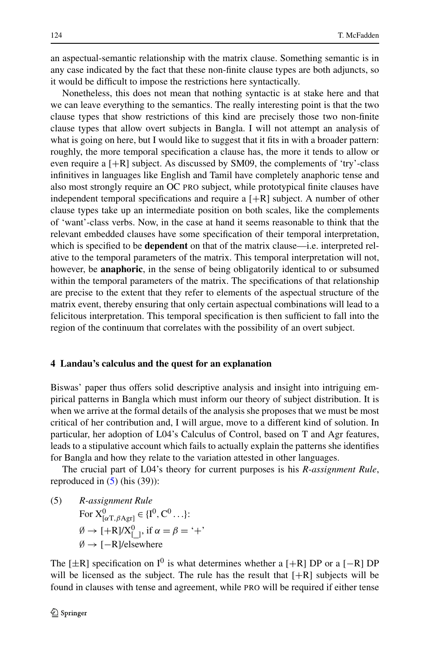an aspectual-semantic relationship with the matrix clause. Something semantic is in any case indicated by the fact that these non-finite clause types are both adjuncts, so it would be difficult to impose the restrictions here syntactically.

Nonetheless, this does not mean that nothing syntactic is at stake here and that we can leave everything to the semantics. The really interesting point is that the two clause types that show restrictions of this kind are precisely those two non-finite clause types that allow overt subjects in Bangla. I will not attempt an analysis of what is going on here, but I would like to suggest that it fits in with a broader pattern: roughly, the more temporal specification a clause has, the more it tends to allow or even require a [+R] subject. As discussed by SM09, the complements of 'try'-class infinitives in languages like English and Tamil have completely anaphoric tense and also most strongly require an OC PRO subject, while prototypical finite clauses have independent temporal specifications and require a  $[+R]$  subject. A number of other clause types take up an intermediate position on both scales, like the complements of 'want'-class verbs. Now, in the case at hand it seems reasonable to think that the relevant embedded clauses have some specification of their temporal interpretation, which is specified to be **dependent** on that of the matrix clause—i.e. interpreted relative to the temporal parameters of the matrix. This temporal interpretation will not, however, be **anaphoric**, in the sense of being obligatorily identical to or subsumed within the temporal parameters of the matrix. The specifications of that relationship are precise to the extent that they refer to elements of the aspectual structure of the matrix event, thereby ensuring that only certain aspectual combinations will lead to a felicitous interpretation. This temporal specification is then sufficient to fall into the region of the continuum that correlates with the possibility of an overt subject.

#### <span id="page-9-0"></span>**4 Landau's calculus and the quest for an explanation**

<span id="page-9-1"></span>Biswas' paper thus offers solid descriptive analysis and insight into intriguing empirical patterns in Bangla which must inform our theory of subject distribution. It is when we arrive at the formal details of the analysis she proposes that we must be most critical of her contribution and, I will argue, move to a different kind of solution. In particular, her adoption of L04's Calculus of Control, based on T and Agr features, leads to a stipulative account which fails to actually explain the patterns she identifies for Bangla and how they relate to the variation attested in other languages.

The crucial part of L04's theory for current purposes is his *R-assignment Rule*, reproduced in  $(5)$  $(5)$  (his  $(39)$ ):

(5) *R-assignment Rule* For  $X^0_{[\alpha T, \beta Agr]} \in \{I^0, C^0 \dots\}$ :  $\emptyset \to [+R]/X^0_{\square}$ , if  $\alpha = \beta = '+'$ ∅ → [−R]/elsewhere

The [ $\pm R$ ] specification on I<sup>0</sup> is what determines whether a [ $+R$ ] DP or a [ $-R$ ] DP will be licensed as the subject. The rule has the result that  $[+R]$  subjects will be found in clauses with tense and agreement, while PRO will be required if either tense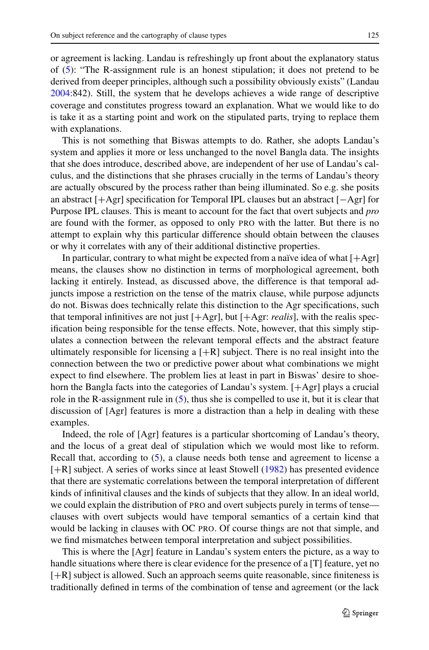or agreement is lacking. Landau is refreshingly up front about the explanatory status of [\(5](#page-9-1)): "The R-assignment rule is an honest stipulation; it does not pretend to be derived from deeper principles, although such a possibility obviously exists" (Landau [2004:](#page-20-1)842). Still, the system that he develops achieves a wide range of descriptive coverage and constitutes progress toward an explanation. What we would like to do is take it as a starting point and work on the stipulated parts, trying to replace them with explanations.

This is not something that Biswas attempts to do. Rather, she adopts Landau's system and applies it more or less unchanged to the novel Bangla data. The insights that she does introduce, described above, are independent of her use of Landau's calculus, and the distinctions that she phrases crucially in the terms of Landau's theory are actually obscured by the process rather than being illuminated. So e.g. she posits an abstract [+Agr] specification for Temporal IPL clauses but an abstract [−Agr] for Purpose IPL clauses. This is meant to account for the fact that overt subjects and *pro* are found with the former, as opposed to only PRO with the latter. But there is no attempt to explain why this particular difference should obtain between the clauses or why it correlates with any of their additional distinctive properties.

In particular, contrary to what might be expected from a naïve idea of what  $[+Agr]$ means, the clauses show no distinction in terms of morphological agreement, both lacking it entirely. Instead, as discussed above, the difference is that temporal adjuncts impose a restriction on the tense of the matrix clause, while purpose adjuncts do not. Biswas does technically relate this distinction to the Agr specifications, such that temporal infinitives are not just [+Agr], but [+Agr: *realis*], with the realis specification being responsible for the tense effects. Note, however, that this simply stipulates a connection between the relevant temporal effects and the abstract feature ultimately responsible for licensing a  $[+R]$  subject. There is no real insight into the connection between the two or predictive power about what combinations we might expect to find elsewhere. The problem lies at least in part in Biswas' desire to shoehorn the Bangla facts into the categories of Landau's system. [+Agr] plays a crucial role in the R-assignment rule in  $(5)$  $(5)$ , thus she is compelled to use it, but it is clear that discussion of [Agr] features is more a distraction than a help in dealing with these examples.

Indeed, the role of [Agr] features is a particular shortcoming of Landau's theory, and the locus of a great deal of stipulation which we would most like to reform. Recall that, according to [\(5](#page-9-1)), a clause needs both tense and agreement to license a [+R] subject. A series of works since at least Stowell [\(1982\)](#page-20-7) has presented evidence that there are systematic correlations between the temporal interpretation of different kinds of infinitival clauses and the kinds of subjects that they allow. In an ideal world, we could explain the distribution of PRO and overt subjects purely in terms of tense clauses with overt subjects would have temporal semantics of a certain kind that would be lacking in clauses with OC PRO. Of course things are not that simple, and we find mismatches between temporal interpretation and subject possibilities.

This is where the [Agr] feature in Landau's system enters the picture, as a way to handle situations where there is clear evidence for the presence of a [T] feature, yet no [+R] subject is allowed. Such an approach seems quite reasonable, since finiteness is traditionally defined in terms of the combination of tense and agreement (or the lack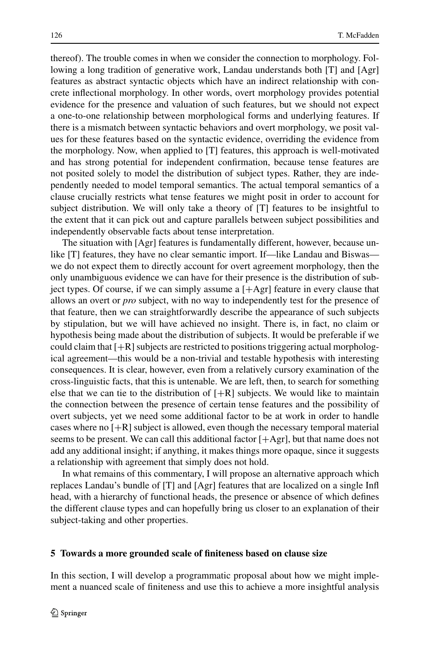thereof). The trouble comes in when we consider the connection to morphology. Following a long tradition of generative work, Landau understands both [T] and [Agr] features as abstract syntactic objects which have an indirect relationship with concrete inflectional morphology. In other words, overt morphology provides potential evidence for the presence and valuation of such features, but we should not expect a one-to-one relationship between morphological forms and underlying features. If there is a mismatch between syntactic behaviors and overt morphology, we posit values for these features based on the syntactic evidence, overriding the evidence from the morphology. Now, when applied to [T] features, this approach is well-motivated and has strong potential for independent confirmation, because tense features are not posited solely to model the distribution of subject types. Rather, they are independently needed to model temporal semantics. The actual temporal semantics of a clause crucially restricts what tense features we might posit in order to account for subject distribution. We will only take a theory of [T] features to be insightful to the extent that it can pick out and capture parallels between subject possibilities and independently observable facts about tense interpretation.

The situation with [Agr] features is fundamentally different, however, because unlike [T] features, they have no clear semantic import. If—like Landau and Biswas we do not expect them to directly account for overt agreement morphology, then the only unambiguous evidence we can have for their presence is the distribution of subject types. Of course, if we can simply assume a [+Agr] feature in every clause that allows an overt or *pro* subject, with no way to independently test for the presence of that feature, then we can straightforwardly describe the appearance of such subjects by stipulation, but we will have achieved no insight. There is, in fact, no claim or hypothesis being made about the distribution of subjects. It would be preferable if we could claim that  $[-R]$  subjects are restricted to positions triggering actual morphological agreement—this would be a non-trivial and testable hypothesis with interesting consequences. It is clear, however, even from a relatively cursory examination of the cross-linguistic facts, that this is untenable. We are left, then, to search for something else that we can tie to the distribution of  $[+R]$  subjects. We would like to maintain the connection between the presence of certain tense features and the possibility of overt subjects, yet we need some additional factor to be at work in order to handle cases where no  $[+R]$  subject is allowed, even though the necessary temporal material seems to be present. We can call this additional factor [+Agr], but that name does not add any additional insight; if anything, it makes things more opaque, since it suggests a relationship with agreement that simply does not hold.

<span id="page-11-0"></span>In what remains of this commentary, I will propose an alternative approach which replaces Landau's bundle of [T] and [Agr] features that are localized on a single Infl head, with a hierarchy of functional heads, the presence or absence of which defines the different clause types and can hopefully bring us closer to an explanation of their subject-taking and other properties.

#### **5 Towards a more grounded scale of finiteness based on clause size**

In this section, I will develop a programmatic proposal about how we might implement a nuanced scale of finiteness and use this to achieve a more insightful analysis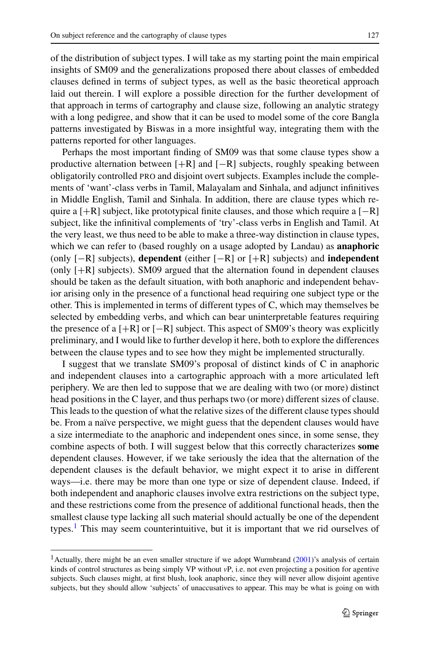of the distribution of subject types. I will take as my starting point the main empirical insights of SM09 and the generalizations proposed there about classes of embedded clauses defined in terms of subject types, as well as the basic theoretical approach laid out therein. I will explore a possible direction for the further development of that approach in terms of cartography and clause size, following an analytic strategy with a long pedigree, and show that it can be used to model some of the core Bangla patterns investigated by Biswas in a more insightful way, integrating them with the patterns reported for other languages.

Perhaps the most important finding of SM09 was that some clause types show a productive alternation between [+R] and [−R] subjects, roughly speaking between obligatorily controlled PRO and disjoint overt subjects. Examples include the complements of 'want'-class verbs in Tamil, Malayalam and Sinhala, and adjunct infinitives in Middle English, Tamil and Sinhala. In addition, there are clause types which require a  $[-R]$  subject, like prototypical finite clauses, and those which require a  $[-R]$ subject, like the infinitival complements of 'try'-class verbs in English and Tamil. At the very least, we thus need to be able to make a three-way distinction in clause types, which we can refer to (based roughly on a usage adopted by Landau) as **anaphoric** (only [−R] subjects), **dependent** (either [−R] or [+R] subjects) and **independent** (only [+R] subjects). SM09 argued that the alternation found in dependent clauses should be taken as the default situation, with both anaphoric and independent behavior arising only in the presence of a functional head requiring one subject type or the other. This is implemented in terms of different types of C, which may themselves be selected by embedding verbs, and which can bear uninterpretable features requiring the presence of a [+R] or [−R] subject. This aspect of SM09's theory was explicitly preliminary, and I would like to further develop it here, both to explore the differences between the clause types and to see how they might be implemented structurally.

I suggest that we translate SM09's proposal of distinct kinds of C in anaphoric and independent clauses into a cartographic approach with a more articulated left periphery. We are then led to suppose that we are dealing with two (or more) distinct head positions in the C layer, and thus perhaps two (or more) different sizes of clause. This leads to the question of what the relative sizes of the different clause types should be. From a naïve perspective, we might guess that the dependent clauses would have a size intermediate to the anaphoric and independent ones since, in some sense, they combine aspects of both. I will suggest below that this correctly characterizes **some** dependent clauses. However, if we take seriously the idea that the alternation of the dependent clauses is the default behavior, we might expect it to arise in different ways—i.e. there may be more than one type or size of dependent clause. Indeed, if both independent and anaphoric clauses involve extra restrictions on the subject type, and these restrictions come from the presence of additional functional heads, then the smallest clause type lacking all such material should actually be one of the dependent types.<sup>1</sup> This may seem counterintuitive, but it is important that we rid ourselves of

<span id="page-12-0"></span><sup>&</sup>lt;sup>1</sup> Actually, there might be an even smaller structure if we adopt Wurmbrand  $(2001)$  $(2001)$ 's analysis of certain kinds of control structures as being simply VP without *v*P, i.e. not even projecting a position for agentive subjects. Such clauses might, at first blush, look anaphoric, since they will never allow disjoint agentive subjects, but they should allow 'subjects' of unaccusatives to appear. This may be what is going on with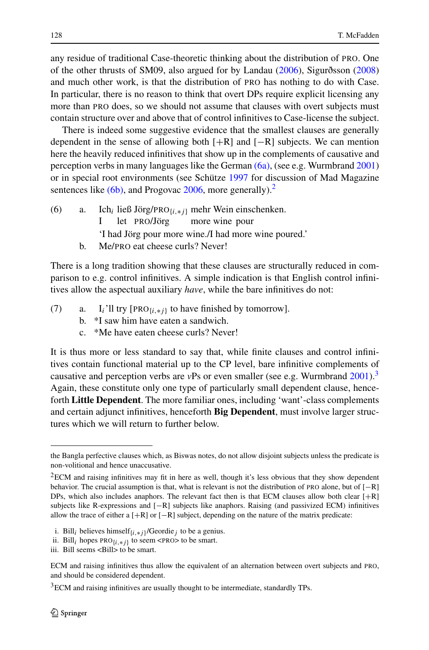any residue of traditional Case-theoretic thinking about the distribution of PRO. One of the other thrusts of SM09, also argued for by Landau ([2006\)](#page-20-9), Sigurðsson [\(2008](#page-20-10)) and much other work, is that the distribution of PRO has nothing to do with Case. In particular, there is no reason to think that overt DPs require explicit licensing any more than PRO does, so we should not assume that clauses with overt subjects must contain structure over and above that of control infinitives to Case-license the subject.

<span id="page-13-1"></span><span id="page-13-0"></span>There is indeed some suggestive evidence that the smallest clauses are generally dependent in the sense of allowing both [+R] and [−R] subjects. We can mention here the heavily reduced infinitives that show up in the complements of causative and perception verbs in many languages like the German [\(6a\)](#page-13-0), (see e.g. Wurmbrand [2001](#page-20-8)) or in special root environments (see Schütze [1997](#page-20-11) for discussion of Mad Magazine sentences like  $(6b)$ , and Progovac  $2006$  $2006$ , more generally).<sup>2</sup>

- (6) a. Ich<sub>i</sub> ließ Jörg/PRO $\{i, *j\}$  mehr Wein einschenken. I let PRO/Jörg more wine pour 'I had Jörg pour more wine./I had more wine poured.'
	- b. Me/PRO eat cheese curls? Never!

There is a long tradition showing that these clauses are structurally reduced in comparison to e.g. control infinitives. A simple indication is that English control infinitives allow the aspectual auxiliary *have*, while the bare infinitives do not:

- (7) a. I<sub>*i*</sub>'ll try  $[PRO_{\{i, *j\}}]$  to have finished by tomorrow].
	- b. \*I saw him have eaten a sandwich.
	- c. \*Me have eaten cheese curls? Never!

<span id="page-13-2"></span>It is thus more or less standard to say that, while finite clauses and control infinitives contain functional material up to the CP level, bare infinitive complements of causative and perception verbs are *vPs* or even smaller (see e.g. Wurmbrand [2001](#page-20-8)).<sup>3</sup> Again, these constitute only one type of particularly small dependent clause, henceforth **Little Dependent**. The more familiar ones, including 'want'-class complements and certain adjunct infinitives, henceforth **Big Dependent**, must involve larger structures which we will return to further below.

iii. Bill seems <Bill> to be smart.

 $\mathcal{D}$  Springer

the Bangla perfective clauses which, as Biswas notes, do not allow disjoint subjects unless the predicate is non-volitional and hence unaccusative.

<span id="page-13-3"></span><sup>&</sup>lt;sup>2</sup>ECM and raising infinitives may fit in here as well, though it's less obvious that they show dependent behavior. The crucial assumption is that, what is relevant is not the distribution of PRO alone, but of [−R] DPs, which also includes anaphors. The relevant fact then is that ECM clauses allow both clear  $[+R]$ subjects like R-expressions and [−R] subjects like anaphors. Raising (and passivized ECM) infinitives allow the trace of either a [+R] or [−R] subject, depending on the nature of the matrix predicate:

i. Bill<sub>i</sub> believes himself $\{i, *j\}$ /Geordie<sub>j</sub> to be a genius.

ii. Bill<sub>i</sub> hopes PRO $\{i, *j\}$  to seem <PRO> to be smart.

ECM and raising infinitives thus allow the equivalent of an alternation between overt subjects and PRO, and should be considered dependent.

 $3ECM$  and raising infinitives are usually thought to be intermediate, standardly TPs.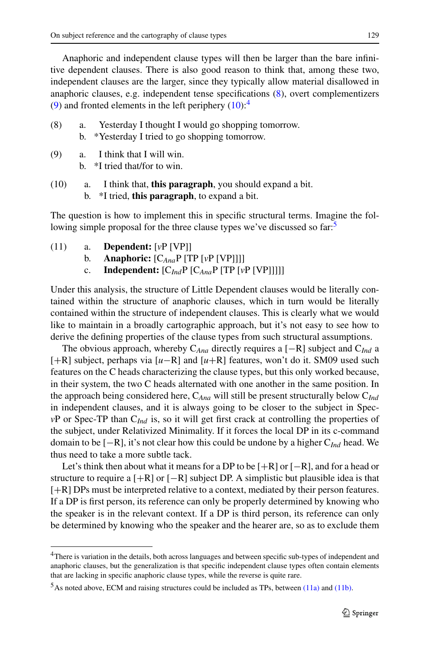<span id="page-14-2"></span><span id="page-14-1"></span><span id="page-14-0"></span>Anaphoric and independent clause types will then be larger than the bare infinitive dependent clauses. There is also good reason to think that, among these two, independent clauses are the larger, since they typically allow material disallowed in anaphoric clauses, e.g. independent tense specifications [\(8\)](#page-14-0), overt complementizers [\(9](#page-14-1)) and fronted elements in the left periphery  $(10)$  $(10)$ :<sup>[4](#page-14-3)</sup>

- (8) a. Yesterday I thought I would go shopping tomorrow. b. \*Yesterday I tried to go shopping tomorrow.
- <span id="page-14-6"></span><span id="page-14-5"></span>(9) a. I think that I will win. b. \*I tried that/for to win.
- (10) a. I think that, **this paragraph**, you should expand a bit. b. \*I tried, **this paragraph**, to expand a bit.

The question is how to implement this in specific structural terms. Imagine the fol-lowing simple proposal for the three clause types we've discussed so far:<sup>[5](#page-14-4)</sup>

- (11) a. **Dependent:** [*v*P [VP]]
	- b. **Anaphoric:** [C*Ana*P [TP [*v*P [VP]]]]
	- c. **Independent:** [C*Ind*P [C*Ana*P [TP [*v*P [VP]]]]]

Under this analysis, the structure of Little Dependent clauses would be literally contained within the structure of anaphoric clauses, which in turn would be literally contained within the structure of independent clauses. This is clearly what we would like to maintain in a broadly cartographic approach, but it's not easy to see how to derive the defining properties of the clause types from such structural assumptions.

The obvious approach, whereby C*Ana* directly requires a [−R] subject and C*Ind* a [+R] subject, perhaps via [*u*−R] and [*u*+R] features, won't do it. SM09 used such features on the C heads characterizing the clause types, but this only worked because, in their system, the two C heads alternated with one another in the same position. In the approach being considered here, C*Ana* will still be present structurally below C*Ind* in independent clauses, and it is always going to be closer to the subject in Spec*v*P or Spec-TP than C*Ind* is, so it will get first crack at controlling the properties of the subject, under Relativized Minimality. If it forces the local DP in its c-command domain to be [−R], it's not clear how this could be undone by a higher C*Ind* head. We thus need to take a more subtle tack.

<span id="page-14-4"></span><span id="page-14-3"></span>Let's think then about what it means for a DP to be  $[+R]$  or  $[-R]$ , and for a head or structure to require a  $[+R]$  or  $[-R]$  subject DP. A simplistic but plausible idea is that [+R] DPs must be interpreted relative to a context, mediated by their person features. If a DP is first person, its reference can only be properly determined by knowing who the speaker is in the relevant context. If a DP is third person, its reference can only be determined by knowing who the speaker and the hearer are, so as to exclude them

<sup>&</sup>lt;sup>4</sup>There is variation in the details, both across languages and between specific sub-types of independent and anaphoric clauses, but the generalization is that specific independent clause types often contain elements that are lacking in specific anaphoric clause types, while the reverse is quite rare.

 $5$ As noted above, ECM and raising structures could be included as TPs, between [\(11a\)](#page-14-5) and [\(11b\)](#page-14-6).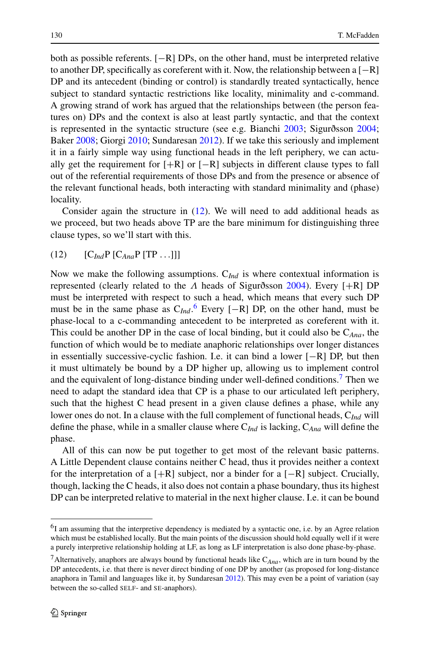both as possible referents. [−R] DPs, on the other hand, must be interpreted relative to another DP, specifically as coreferent with it. Now, the relationship between a  $[-R]$ DP and its antecedent (binding or control) is standardly treated syntactically, hence subject to standard syntactic restrictions like locality, minimality and c-command. A growing strand of work has argued that the relationships between (the person features on) DPs and the context is also at least partly syntactic, and that the context is represented in the syntactic structure (see e.g. Bianchi [2003](#page-20-13); Sigurðsson [2004;](#page-20-14) Baker [2008;](#page-20-15) Giorgi [2010;](#page-20-16) Sundaresan [2012](#page-20-17)). If we take this seriously and implement it in a fairly simple way using functional heads in the left periphery, we can actually get the requirement for  $[+R]$  or  $[-R]$  subjects in different clause types to fall out of the referential requirements of those DPs and from the presence or absence of the relevant functional heads, both interacting with standard minimality and (phase) locality.

<span id="page-15-0"></span>Consider again the structure in ([12\)](#page-15-0). We will need to add additional heads as we proceed, but two heads above TP are the bare minimum for distinguishing three clause types, so we'll start with this.

 $(C_{Ind}P [C_{Ana}P [TP...]]$ 

Now we make the following assumptions. C*Ind* is where contextual information is represented (clearly related to the *Λ* heads of Sigurðsson [2004](#page-20-14)). Every [+R] DP must be interpreted with respect to such a head, which means that every such DP must be in the same phase as C*Ind*. [6](#page-15-1) Every [−R] DP, on the other hand, must be phase-local to a c-commanding antecedent to be interpreted as coreferent with it. This could be another DP in the case of local binding, but it could also be C*Ana*, the function of which would be to mediate anaphoric relationships over longer distances in essentially successive-cyclic fashion. I.e. it can bind a lower [−R] DP, but then it must ultimately be bound by a DP higher up, allowing us to implement control and the equivalent of long-distance binding under well-defined conditions.<sup>7</sup> Then we need to adapt the standard idea that CP is a phase to our articulated left periphery, such that the highest C head present in a given clause defines a phase, while any lower ones do not. In a clause with the full complement of functional heads, C*Ind* will define the phase, while in a smaller clause where C*Ind* is lacking, C*Ana* will define the phase.

<span id="page-15-2"></span><span id="page-15-1"></span>All of this can now be put together to get most of the relevant basic patterns. A Little Dependent clause contains neither C head, thus it provides neither a context for the interpretation of a  $[+R]$  subject, nor a binder for a  $[-R]$  subject. Crucially, though, lacking the C heads, it also does not contain a phase boundary, thus its highest DP can be interpreted relative to material in the next higher clause. I.e. it can be bound

<sup>&</sup>lt;sup>6</sup>I am assuming that the interpretive dependency is mediated by a syntactic one, i.e. by an Agree relation which must be established locally. But the main points of the discussion should hold equally well if it were a purely interpretive relationship holding at LF, as long as LF interpretation is also done phase-by-phase.

<sup>&</sup>lt;sup>7</sup>Alternatively, anaphors are always bound by functional heads like  $C_{Ana}$ , which are in turn bound by the DP antecedents, i.e. that there is never direct binding of one DP by another (as proposed for long-distance anaphora in Tamil and languages like it, by Sundaresan [2012\)](#page-20-17). This may even be a point of variation (say between the so-called SELF- and SE-anaphors).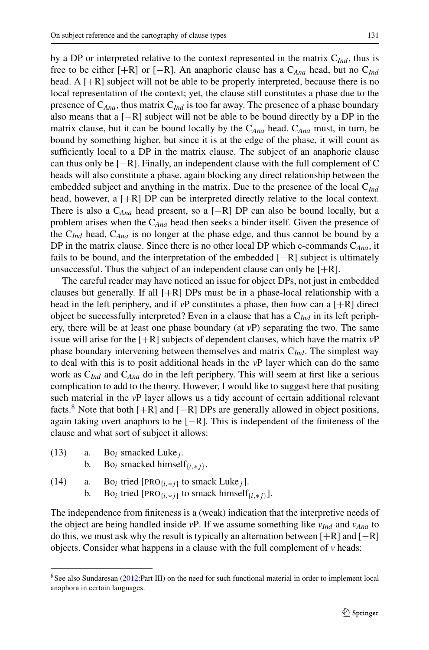by a DP or interpreted relative to the context represented in the matrix C*Ind*, thus is free to be either [+R] or [−R]. An anaphoric clause has a C*Ana* head, but no C*Ind* head. A  $[-R]$  subject will not be able to be properly interpreted, because there is no local representation of the context; yet, the clause still constitutes a phase due to the presence of C*Ana*, thus matrix C*Ind* is too far away. The presence of a phase boundary also means that a  $[-R]$  subject will not be able to be bound directly by a DP in the matrix clause, but it can be bound locally by the C*Ana* head. C*Ana* must, in turn, be bound by something higher, but since it is at the edge of the phase, it will count as sufficiently local to a DP in the matrix clause. The subject of an anaphoric clause can thus only be [−R]. Finally, an independent clause with the full complement of C heads will also constitute a phase, again blocking any direct relationship between the embedded subject and anything in the matrix. Due to the presence of the local C*Ind* head, however, a  $[+R]$  DP can be interpreted directly relative to the local context. There is also a C*Ana* head present, so a [−R] DP can also be bound locally, but a problem arises when the C*Ana* head then seeks a binder itself. Given the presence of the C*Ind* head, C*Ana* is no longer at the phase edge, and thus cannot be bound by a DP in the matrix clause. Since there is no other local DP which c-commands C*Ana*, it fails to be bound, and the interpretation of the embedded  $[-R]$  subject is ultimately unsuccessful. Thus the subject of an independent clause can only be  $[+R]$ .

The careful reader may have noticed an issue for object DPs, not just in embedded clauses but generally. If all  $[+R]$  DPs must be in a phase-local relationship with a head in the left periphery, and if *v*P constitutes a phase, then how can a [+R] direct object be successfully interpreted? Even in a clause that has a C*Ind* in its left periphery, there will be at least one phase boundary (at *v*P) separating the two. The same issue will arise for the [+R] subjects of dependent clauses, which have the matrix *v*P phase boundary intervening between themselves and matrix C*Ind*. The simplest way to deal with this is to posit additional heads in the *v*P layer which can do the same work as C*Ind* and C*Ana* do in the left periphery. This will seem at first like a serious complication to add to the theory. However, I would like to suggest here that positing such material in the *v*P layer allows us a tidy account of certain additional relevant facts.<sup>[8](#page-16-0)</sup> Note that both  $[+R]$  and  $[-R]$  DPs are generally allowed in object positions, again taking overt anaphors to be [−R]. This is independent of the finiteness of the clause and what sort of subject it allows:

- (13) a. Bo*<sup>i</sup>* smacked Luke*<sup>j</sup>* .
	- b. Bo<sub>i</sub> smacked himself ${i_{i*ji}}$ .
- <span id="page-16-0"></span>(14) a. Bo<sub>i</sub> tried [PRO<sub>{*i,*\**j*}</sub> to smack Luke<sub>*j*</sub>].
	- b. Bo<sub>i</sub> tried [PRO $\{i, *j\}$ ] to smack himself $\{i, *j\}$ ].

The independence from finiteness is a (weak) indication that the interpretive needs of the object are being handled inside *vP*. If we assume something like  $v_{Ind}$  and  $v_{Ana}$  to do this, we must ask why the result is typically an alternation between [+R] and [−R] objects. Consider what happens in a clause with the full complement of *v* heads:

<sup>8</sup>See also Sundaresan ([2012:](#page-20-17)Part III) on the need for such functional material in order to implement local anaphora in certain languages.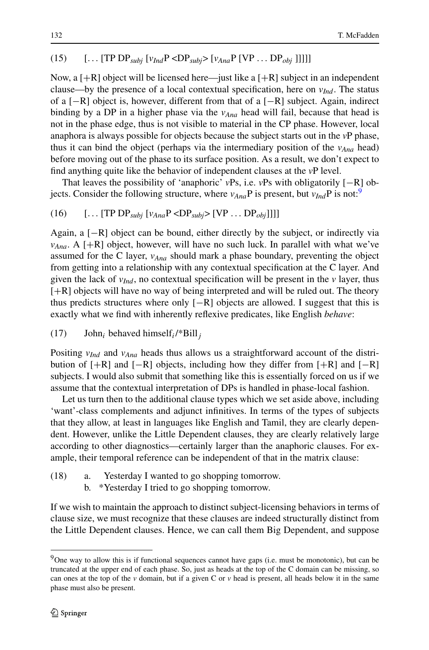(15) 
$$
[\dots [\text{TP DP}_{\text{subj}} [v_{\text{Ind}} P \langle DP_{\text{subj}} \rangle [v_{\text{Ana}} P [VP \dots DP_{\text{obj}}]]]]]
$$

Now, a  $[+R]$  object will be licensed here—just like a  $[+R]$  subject in an independent clause—by the presence of a local contextual specification, here on  $v_{Ind}$ . The status of a [−R] object is, however, different from that of a [−R] subject. Again, indirect binding by a DP in a higher phase via the  $v_{Ana}$  head will fail, because that head is not in the phase edge, thus is not visible to material in the CP phase. However, local anaphora is always possible for objects because the subject starts out in the *v*P phase, thus it can bind the object (perhaps via the intermediary position of the  $v_{Ana}$  head) before moving out of the phase to its surface position. As a result, we don't expect to find anything quite like the behavior of independent clauses at the *v*P level.

That leaves the possibility of 'anaphoric' *v*Ps, i.e. *v*Ps with obligatorily [−R] objects. Consider the following structure, where  $v_{Ana}P$  is present, but  $v_{Ind}P$  is not:<sup>[9](#page-17-0)</sup>

$$
(16) \qquad [\dots [TP DPsubj [vAnaP < D Psubj] [VP \dots DPobj]]]]
$$

Again, a [−R] object can be bound, either directly by the subject, or indirectly via  $v_{Ana}$ . A [+R] object, however, will have no such luck. In parallel with what we've assumed for the C layer, *vAna* should mark a phase boundary, preventing the object from getting into a relationship with any contextual specification at the C layer. And given the lack of  $v_{Ind}$ , no contextual specification will be present in the *v* layer, thus [+R] objects will have no way of being interpreted and will be ruled out. The theory thus predicts structures where only  $[-R]$  objects are allowed. I suggest that this is exactly what we find with inherently reflexive predicates, like English *behave*:

(17) John*<sup>i</sup>* behaved himself*i*/\*Bill*<sup>j</sup>*

Positing *vInd* and *vAna* heads thus allows us a straightforward account of the distribution of [+R] and [−R] objects, including how they differ from [+R] and [−R] subjects. I would also submit that something like this is essentially forced on us if we assume that the contextual interpretation of DPs is handled in phase-local fashion.

Let us turn then to the additional clause types which we set aside above, including 'want'-class complements and adjunct infinitives. In terms of the types of subjects that they allow, at least in languages like English and Tamil, they are clearly dependent. However, unlike the Little Dependent clauses, they are clearly relatively large according to other diagnostics—certainly larger than the anaphoric clauses. For example, their temporal reference can be independent of that in the matrix clause:

- <span id="page-17-0"></span>(18) a. Yesterday I wanted to go shopping tomorrow.
	- b. \*Yesterday I tried to go shopping tomorrow.

If we wish to maintain the approach to distinct subject-licensing behaviors in terms of clause size, we must recognize that these clauses are indeed structurally distinct from the Little Dependent clauses. Hence, we can call them Big Dependent, and suppose

<sup>&</sup>lt;sup>9</sup>One way to allow this is if functional sequences cannot have gaps (i.e. must be monotonic), but can be truncated at the upper end of each phase. So, just as heads at the top of the C domain can be missing, so can ones at the top of the  $\nu$  domain, but if a given C or  $\nu$  head is present, all heads below it in the same phase must also be present.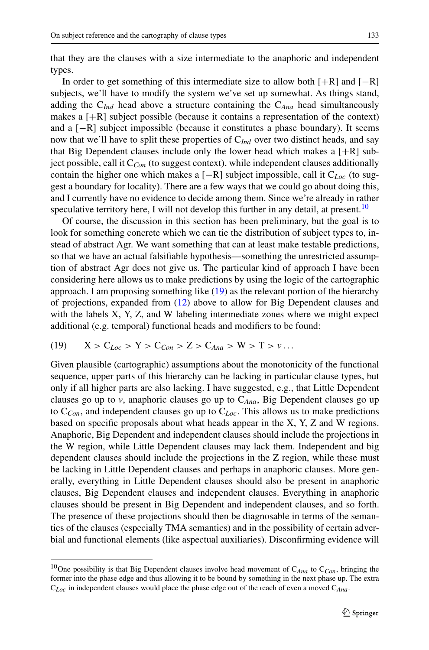that they are the clauses with a size intermediate to the anaphoric and independent types.

In order to get something of this intermediate size to allow both [+R] and [−R] subjects, we'll have to modify the system we've set up somewhat. As things stand, adding the C*Ind* head above a structure containing the C*Ana* head simultaneously makes a  $[-R]$  subject possible (because it contains a representation of the context) and a [−R] subject impossible (because it constitutes a phase boundary). It seems now that we'll have to split these properties of C*Ind* over two distinct heads, and say that Big Dependent clauses include only the lower head which makes a  $[+R]$  subject possible, call it C*Con* (to suggest context), while independent clauses additionally contain the higher one which makes a [−R] subject impossible, call it C*Loc* (to suggest a boundary for locality). There are a few ways that we could go about doing this, and I currently have no evidence to decide among them. Since we're already in rather speculative territory here, I will not develop this further in any detail, at present.<sup>[10](#page-18-0)</sup>

<span id="page-18-1"></span>Of course, the discussion in this section has been preliminary, but the goal is to look for something concrete which we can tie the distribution of subject types to, instead of abstract Agr. We want something that can at least make testable predictions, so that we have an actual falsifiable hypothesis—something the unrestricted assumption of abstract Agr does not give us. The particular kind of approach I have been considering here allows us to make predictions by using the logic of the cartographic approach. I am proposing something like ([19\)](#page-18-1) as the relevant portion of the hierarchy of projections, expanded from ([12\)](#page-15-0) above to allow for Big Dependent clauses and with the labels X, Y, Z, and W labeling intermediate zones where we might expect additional (e.g. temporal) functional heads and modifiers to be found:

(19) 
$$
X > C_{Loc} > Y > C_{Con} > Z > C_{Ana} > W > T > v...
$$

Given plausible (cartographic) assumptions about the monotonicity of the functional sequence, upper parts of this hierarchy can be lacking in particular clause types, but only if all higher parts are also lacking. I have suggested, e.g., that Little Dependent clauses go up to *v*, anaphoric clauses go up to C*Ana*, Big Dependent clauses go up to C*Con*, and independent clauses go up to C*Loc*. This allows us to make predictions based on specific proposals about what heads appear in the X, Y, Z and W regions. Anaphoric, Big Dependent and independent clauses should include the projections in the W region, while Little Dependent clauses may lack them. Independent and big dependent clauses should include the projections in the Z region, while these must be lacking in Little Dependent clauses and perhaps in anaphoric clauses. More generally, everything in Little Dependent clauses should also be present in anaphoric clauses, Big Dependent clauses and independent clauses. Everything in anaphoric clauses should be present in Big Dependent and independent clauses, and so forth. The presence of these projections should then be diagnosable in terms of the semantics of the clauses (especially TMA semantics) and in the possibility of certain adverbial and functional elements (like aspectual auxiliaries). Disconfirming evidence will

<span id="page-18-0"></span><sup>10</sup>One possibility is that Big Dependent clauses involve head movement of C*Ana* to C*Con*, bringing the former into the phase edge and thus allowing it to be bound by something in the next phase up. The extra C*Loc* in independent clauses would place the phase edge out of the reach of even a moved C*Ana*.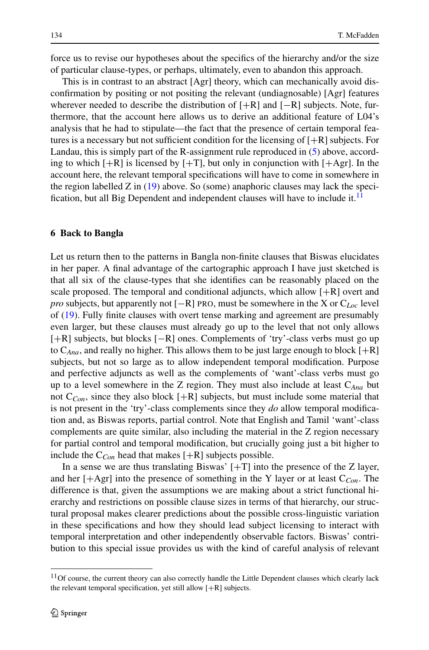force us to revise our hypotheses about the specifics of the hierarchy and/or the size of particular clause-types, or perhaps, ultimately, even to abandon this approach.

<span id="page-19-0"></span>This is in contrast to an abstract [Agr] theory, which can mechanically avoid disconfirmation by positing or not positing the relevant (undiagnosable) [Agr] features wherever needed to describe the distribution of [+R] and [−R] subjects. Note, furthermore, that the account here allows us to derive an additional feature of L04's analysis that he had to stipulate—the fact that the presence of certain temporal features is a necessary but not sufficient condition for the licensing of [+R] subjects. For Landau, this is simply part of the R-assignment rule reproduced in ([5\)](#page-9-1) above, according to which  $[+R]$  is licensed by  $[+T]$ , but only in conjunction with  $[+Agr]$ . In the account here, the relevant temporal specifications will have to come in somewhere in the region labelled  $Z$  in ([19\)](#page-18-1) above. So (some) anaphoric clauses may lack the specification, but all Big Dependent and independent clauses will have to include it.<sup>11</sup>

## **6 Back to Bangla**

Let us return then to the patterns in Bangla non-finite clauses that Biswas elucidates in her paper. A final advantage of the cartographic approach I have just sketched is that all six of the clause-types that she identifies can be reasonably placed on the scale proposed. The temporal and conditional adjuncts, which allow  $[+R]$  overt and *pro* subjects, but apparently not [−R] PRO, must be somewhere in the X or C<sub>*Loc*</sub> level of [\(19](#page-18-1)). Fully finite clauses with overt tense marking and agreement are presumably even larger, but these clauses must already go up to the level that not only allows [+R] subjects, but blocks [−R] ones. Complements of 'try'-class verbs must go up to  $C_{Ana}$ , and really no higher. This allows them to be just large enough to block  $[+R]$ subjects, but not so large as to allow independent temporal modification. Purpose and perfective adjuncts as well as the complements of 'want'-class verbs must go up to a level somewhere in the Z region. They must also include at least C*Ana* but not  $C_{Con}$ , since they also block  $[+R]$  subjects, but must include some material that is not present in the 'try'-class complements since they *do* allow temporal modification and, as Biswas reports, partial control. Note that English and Tamil 'want'-class complements are quite similar, also including the material in the Z region necessary for partial control and temporal modification, but crucially going just a bit higher to include the  $C_{Con}$  head that makes  $[+R]$  subjects possible.

<span id="page-19-1"></span>In a sense we are thus translating Biswas' [+T] into the presence of the Z layer, and her [+Agr] into the presence of something in the Y layer or at least C*Con*. The difference is that, given the assumptions we are making about a strict functional hierarchy and restrictions on possible clause sizes in terms of that hierarchy, our structural proposal makes clearer predictions about the possible cross-linguistic variation in these specifications and how they should lead subject licensing to interact with temporal interpretation and other independently observable factors. Biswas' contribution to this special issue provides us with the kind of careful analysis of relevant

<sup>&</sup>lt;sup>11</sup>Of course, the current theory can also correctly handle the Little Dependent clauses which clearly lack the relevant temporal specification, yet still allow [+R] subjects.